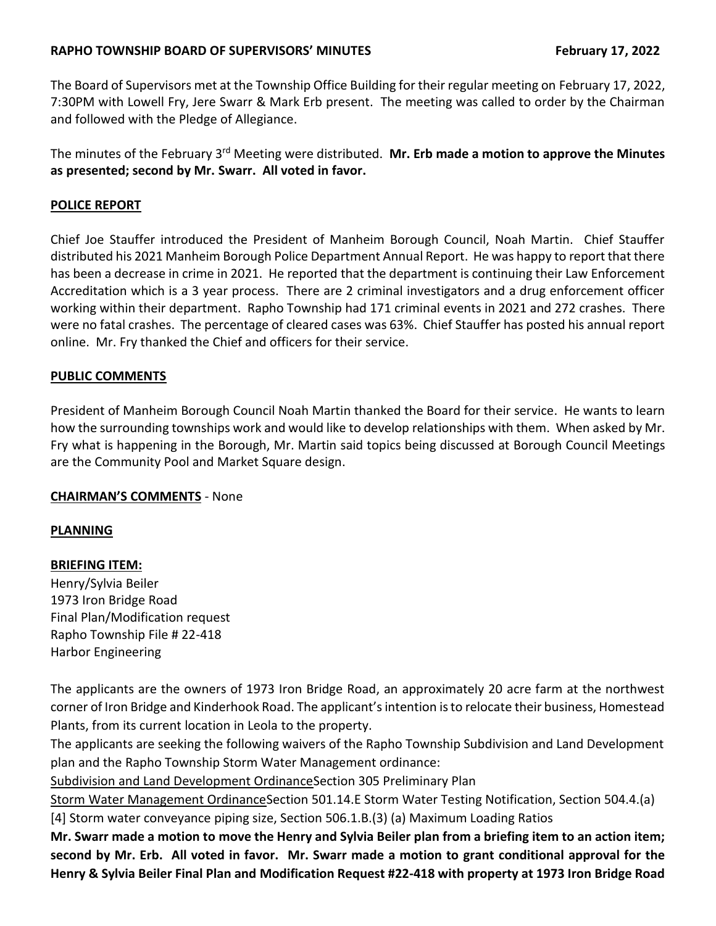### **RAPHO TOWNSHIP BOARD OF SUPERVISORS' MINUTES February 17, 2022**

The Board of Supervisors met at the Township Office Building for their regular meeting on February 17, 2022, 7:30PM with Lowell Fry, Jere Swarr & Mark Erb present. The meeting was called to order by the Chairman and followed with the Pledge of Allegiance.

The minutes of the February 3rd Meeting were distributed. **Mr. Erb made a motion to approve the Minutes as presented; second by Mr. Swarr. All voted in favor.**

## **POLICE REPORT**

Chief Joe Stauffer introduced the President of Manheim Borough Council, Noah Martin. Chief Stauffer distributed his 2021 Manheim Borough Police Department Annual Report. He was happy to report that there has been a decrease in crime in 2021. He reported that the department is continuing their Law Enforcement Accreditation which is a 3 year process. There are 2 criminal investigators and a drug enforcement officer working within their department. Rapho Township had 171 criminal events in 2021 and 272 crashes. There were no fatal crashes. The percentage of cleared cases was 63%. Chief Stauffer has posted his annual report online. Mr. Fry thanked the Chief and officers for their service.

## **PUBLIC COMMENTS**

President of Manheim Borough Council Noah Martin thanked the Board for their service. He wants to learn how the surrounding townships work and would like to develop relationships with them. When asked by Mr. Fry what is happening in the Borough, Mr. Martin said topics being discussed at Borough Council Meetings are the Community Pool and Market Square design.

#### **CHAIRMAN'S COMMENTS** - None

#### **PLANNING**

#### **BRIEFING ITEM:**

Henry/Sylvia Beiler 1973 Iron Bridge Road Final Plan/Modification request Rapho Township File # 22-418 Harbor Engineering

The applicants are the owners of 1973 Iron Bridge Road, an approximately 20 acre farm at the northwest corner of Iron Bridge and Kinderhook Road. The applicant's intention is to relocate their business, Homestead Plants, from its current location in Leola to the property.

The applicants are seeking the following waivers of the Rapho Township Subdivision and Land Development plan and the Rapho Township Storm Water Management ordinance:

Subdivision and Land Development OrdinanceSection 305 Preliminary Plan

Storm Water Management OrdinanceSection 501.14.E Storm Water Testing Notification, Section 504.4.(a)

[4] Storm water conveyance piping size, Section 506.1.B.(3) (a) Maximum Loading Ratios

**Mr. Swarr made a motion to move the Henry and Sylvia Beiler plan from a briefing item to an action item; second by Mr. Erb. All voted in favor. Mr. Swarr made a motion to grant conditional approval for the Henry & Sylvia Beiler Final Plan and Modification Request #22-418 with property at 1973 Iron Bridge Road**